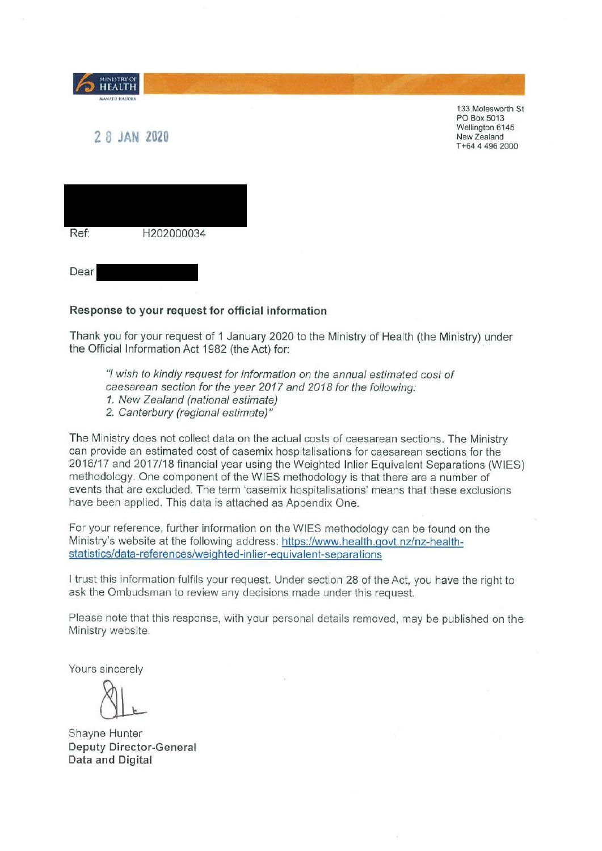| <b>MINISTRY OF</b><br><b>HEALTH</b><br>MANATÚ HAUORA |            |  |
|------------------------------------------------------|------------|--|
| 2 8 JAN 2020                                         |            |  |
|                                                      |            |  |
| Ref:                                                 | H202000034 |  |
| Dear                                                 |            |  |

133 Molesworth St PO Box 5013 Wellington 6145 New Zealand T +64 **4** 496 2000

#### **Response to your request for official information**

Thank you for your request of 1 January 2020 to the Ministry of Health (the Ministry) under the Official Information Act 1982 (the Act) for:

"I wish to kindly request for information on the annual estimated cost of caesarean section for the year 2017 and 2018 for the following:

- 1. New Zealand (national estimate)
- 2. Canterbury (regional estimate)"

The Ministry does not collect data on the actual costs of caesarean sections. The Ministry can provide an estimated cost of casemix hospitalisations for caesarean sections for the 2016/17 and 2017/18 financial year using the Weighted Inlier Equivalent Separations (WIES) methodology. One component of the WIES methodology is that there are a number of events that are excluded. The term 'casemix hospitalisations' means that these exclusions have been applied. This data is attached as Appendix One.

For your reference, further information on the WIES methodology can be found on the Ministry's website at the following address: https://www.health.govt.nz/nz-healthstatistics/data-references/weighted-inlier-eguivalent-separations

I trust this information fulfils your request. Under section 28 of the Act, you have the right to ask the Ombudsman to review any decisions made under this request.

Please note that this response, with your personal details removed, may be published on the Ministry website.

Yours sincerely

 $\left\{\begin{array}{c} \mathbf{L} \\ \mathbf{L} \end{array}\right.$ e Hunter

Shayne Hunter **Deputy Director-General Data and Digital**